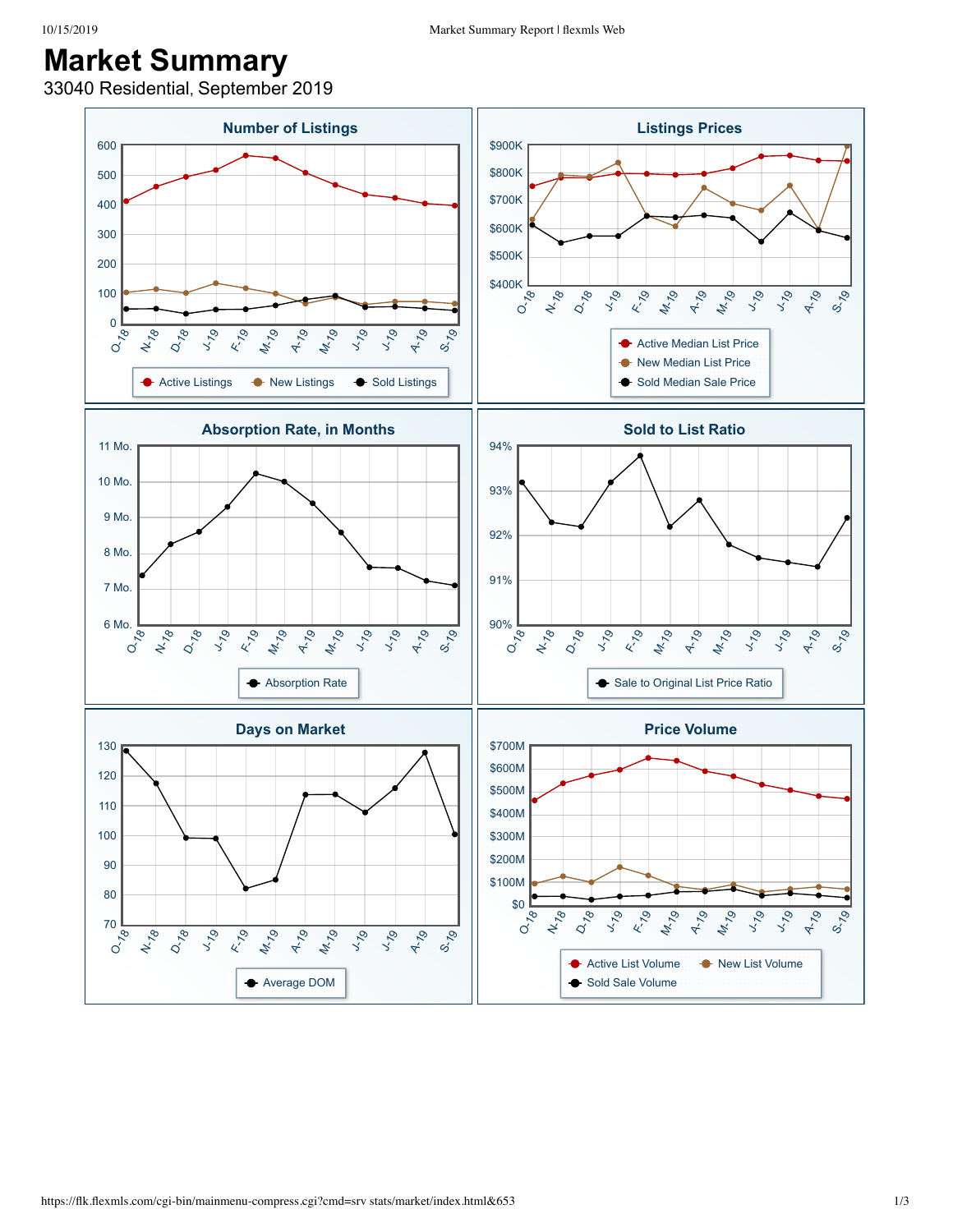## **Market Summary**

33040 Residential, September 2019

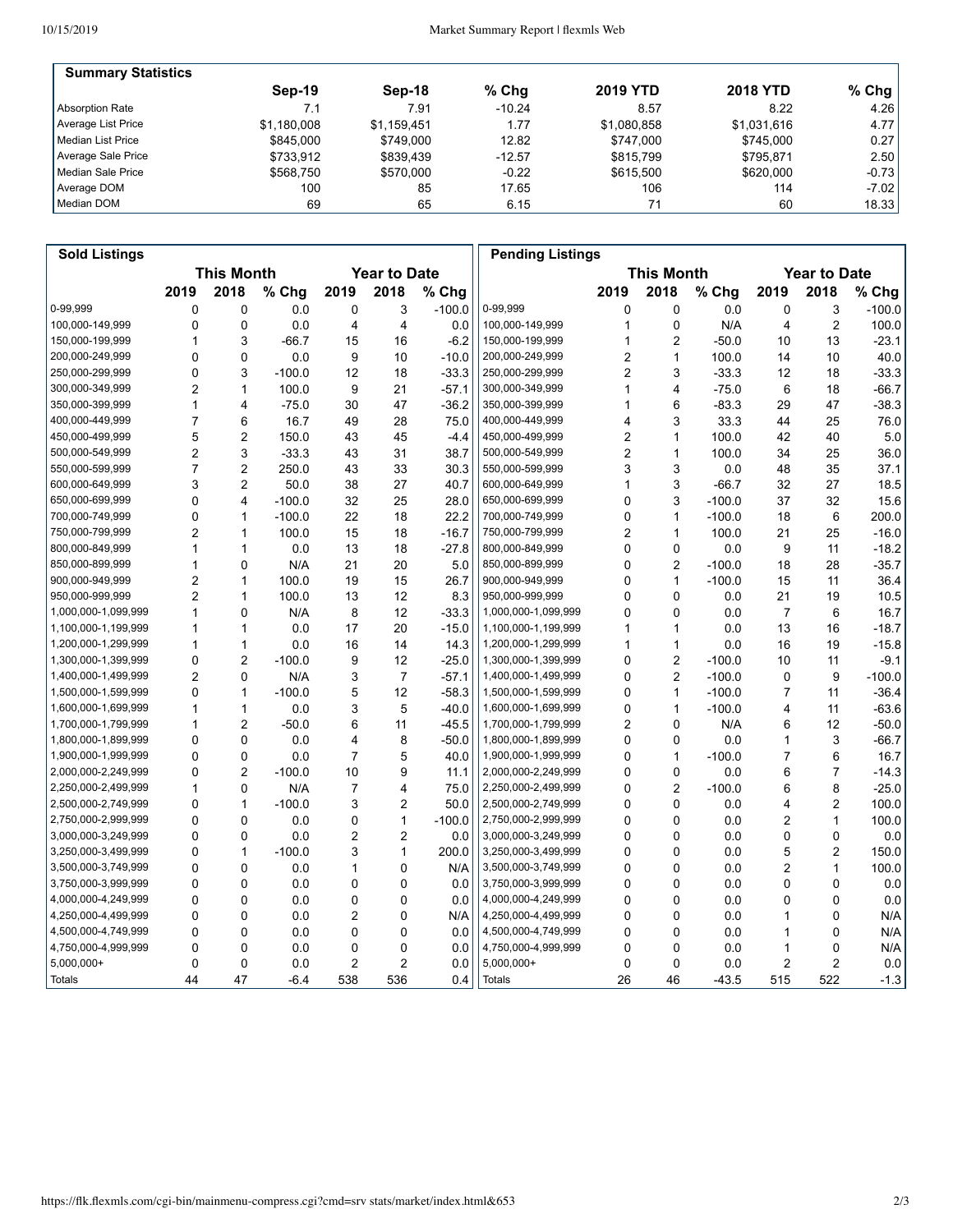| <b>Summary Statistics</b> |             |             |          |                 |                 |         |
|---------------------------|-------------|-------------|----------|-----------------|-----------------|---------|
|                           | Sep-19      | $Sep-18$    | % Chq    | <b>2019 YTD</b> | <b>2018 YTD</b> | % Chg   |
| Absorption Rate           | 7.1         | 7.91        | $-10.24$ | 8.57            | 8.22            | 4.26    |
| Average List Price        | \$1.180.008 | \$1.159.451 | 1.77     | \$1.080.858     | \$1,031,616     | 4.77    |
| Median List Price         | \$845,000   | \$749.000   | 12.82    | \$747,000       | \$745.000       | 0.27    |
| Average Sale Price        | \$733.912   | \$839.439   | $-12.57$ | \$815.799       | \$795.871       | 2.50    |
| Median Sale Price         | \$568.750   | \$570,000   | $-0.22$  | \$615,500       | \$620,000       | $-0.73$ |
| Average DOM               | 100         | 85          | 17.65    | 106             | 114             | $-7.02$ |
| Median DOM                | 69          | 65          | 6.15     | 71              | 60              | 18.33   |

| <b>Sold Listings</b> |                                          |                         |          |                |                |                   | <b>Pending Listings</b> |                |                |          |                         |                |          |
|----------------------|------------------------------------------|-------------------------|----------|----------------|----------------|-------------------|-------------------------|----------------|----------------|----------|-------------------------|----------------|----------|
|                      | <b>This Month</b><br><b>Year to Date</b> |                         |          |                |                | <b>This Month</b> |                         |                |                |          | <b>Year to Date</b>     |                |          |
|                      | 2019                                     | 2018                    | % Chg    | 2019           | 2018           | % Chg             |                         | 2019           | 2018           | % Chg    | 2019                    | 2018           | % Chg    |
| 0-99,999             | 0                                        | 0                       | 0.0      | 0              | 3              | $-100.0$          | 0-99,999                | 0              | 0              | 0.0      | 0                       | 3              | $-100.0$ |
| 100,000-149,999      | 0                                        | 0                       | 0.0      | 4              | 4              | 0.0               | 100,000-149,999         | 1              | $\mathbf 0$    | N/A      | 4                       | $\overline{2}$ | 100.0    |
| 150,000-199,999      | 1                                        | 3                       | $-66.7$  | 15             | 16             | $-6.2$            | 150,000-199,999         | 1              | 2              | $-50.0$  | 10                      | 13             | $-23.1$  |
| 200,000-249,999      | $\mathbf{0}$                             | $\mathbf{0}$            | 0.0      | 9              | 10             | $-10.0$           | 200,000-249,999         | 2              | $\mathbf{1}$   | 100.0    | 14                      | 10             | 40.0     |
| 250,000-299,999      | 0                                        | 3                       | $-100.0$ | 12             | 18             | $-33.3$           | 250,000-299,999         | $\overline{2}$ | 3              | $-33.3$  | 12                      | 18             | $-33.3$  |
| 300,000-349,999      | 2                                        | 1                       | 100.0    | 9              | 21             | $-57.1$           | 300,000-349,999         | 1              | 4              | $-75.0$  | 6                       | 18             | -66.7    |
| 350,000-399,999      | 1                                        | 4                       | $-75.0$  | 30             | 47             | $-36.2$           | 350,000-399,999         | 1              | 6              | $-83.3$  | 29                      | 47             | -38.3    |
| 400,000-449,999      | $\overline{7}$                           | 6                       | 16.7     | 49             | 28             | 75.0              | 400,000-449,999         | 4              | 3              | 33.3     | 44                      | 25             | 76.0     |
| 450,000-499,999      | 5                                        | $\overline{2}$          | 150.0    | 43             | 45             | $-4.4$            | 450,000-499,999         | 2              | 1              | 100.0    | 42                      | 40             | 5.0      |
| 500,000-549,999      | $\overline{2}$                           | 3                       | $-33.3$  | 43             | 31             | 38.7              | 500,000-549,999         | 2              | 1              | 100.0    | 34                      | 25             | 36.0     |
| 550,000-599,999      | 7                                        | $\overline{2}$          | 250.0    | 43             | 33             | 30.3              | 550,000-599,999         | 3              | 3              | 0.0      | 48                      | 35             | 37.1     |
| 600,000-649,999      | 3                                        | $\overline{2}$          | 50.0     | 38             | 27             | 40.7              | 600,000-649,999         | 1              | 3              | $-66.7$  | 32                      | 27             | 18.5     |
| 650,000-699,999      | $\mathbf{0}$                             | $\overline{\mathbf{4}}$ | $-100.0$ | 32             | 25             | 28.0              | 650,000-699,999         | 0              | 3              | $-100.0$ | 37                      | 32             | 15.6     |
| 700,000-749,999      | 0                                        | $\mathbf{1}$            | $-100.0$ | 22             | 18             | 22.2              | 700,000-749,999         | 0              | 1              | $-100.0$ | 18                      | 6              | 200.0    |
| 750,000-799,999      | 2                                        | $\mathbf{1}$            | 100.0    | 15             | 18             | $-16.7$           | 750,000-799,999         | 2              | 1              | 100.0    | 21                      | 25             | $-16.0$  |
| 800,000-849,999      | 1                                        | 1                       | 0.0      | 13             | 18             | $-27.8$           | 800,000-849,999         | 0              | 0              | 0.0      | 9                       | 11             | $-18.2$  |
| 850,000-899,999      | 1                                        | $\mathbf{0}$            | N/A      | 21             | 20             | 5.0               | 850,000-899,999         | $\Omega$       | 2              | $-100.0$ | 18                      | 28             | $-35.7$  |
| 900,000-949,999      | 2                                        | $\mathbf{1}$            | 100.0    | 19             | 15             | 26.7              | 900,000-949,999         | 0              | 1              | $-100.0$ | 15                      | 11             | 36.4     |
| 950,000-999,999      | $\overline{2}$                           | $\mathbf{1}$            | 100.0    | 13             | 12             | 8.3               | 950,000-999,999         | 0              | $\mathbf 0$    | 0.0      | 21                      | 19             | 10.5     |
| 1,000,000-1,099,999  | 1                                        | 0                       | N/A      | 8              | 12             | $-33.3$           | 1,000,000-1,099,999     | 0              | $\mathbf 0$    | 0.0      | $\overline{7}$          | 6              | 16.7     |
| 1,100,000-1,199,999  | 1                                        | $\mathbf{1}$            | 0.0      | 17             | 20             | $-15.0$           | 1,100,000-1,199,999     | 1              | 1              | 0.0      | 13                      | 16             | $-18.7$  |
| 1,200,000-1,299,999  | 1                                        | $\mathbf{1}$            | 0.0      | 16             | 14             | 14.3              | 1,200,000-1,299,999     | 1              | 1              | 0.0      | 16                      | 19             | $-15.8$  |
| 1,300,000-1,399,999  | 0                                        | $\overline{2}$          | $-100.0$ | 9              | 12             | $-25.0$           | 1,300,000-1,399,999     | 0              | 2              | $-100.0$ | 10                      | 11             | $-9.1$   |
| 1,400,000-1,499,999  | $\overline{2}$                           | 0                       | N/A      | 3              | $\overline{7}$ | $-57.1$           | 1,400,000-1,499,999     | 0              | 2              | $-100.0$ | 0                       | 9              | $-100.0$ |
| 1,500,000-1,599,999  | 0                                        | $\mathbf{1}$            | $-100.0$ | 5              | 12             | $-58.3$           | 1,500,000-1,599,999     | 0              | $\mathbf{1}$   | $-100.0$ | $\overline{7}$          | 11             | -36.4    |
| 1,600,000-1,699,999  | 1                                        | $\mathbf{1}$            | 0.0      | 3              | 5              | $-40.0$           | 1,600,000-1,699,999     | 0              | 1              | $-100.0$ | 4                       | 11             | -63.6    |
| 1,700,000-1,799,999  | 1                                        | 2                       | $-50.0$  | 6              | 11             | $-45.5$           | 1,700,000-1,799,999     | 2              | $\mathbf 0$    | N/A      | 6                       | 12             | $-50.0$  |
| 1,800,000-1,899,999  | 0                                        | 0                       | 0.0      | 4              | 8              | $-50.0$           | 1,800,000-1,899,999     | 0              | 0              | 0.0      | 1                       | 3              | -66.7    |
| 1,900,000-1,999,999  | 0                                        | 0                       | 0.0      | 7              | 5              | 40.0              | 1,900,000-1,999,999     | 0              | 1              | $-100.0$ | 7                       | 6              | 16.7     |
| 2,000,000-2,249,999  | $\mathbf{0}$                             | $\overline{2}$          | $-100.0$ | 10             | 9              | 11.1              | 2,000,000-2,249,999     | $\mathbf{0}$   | $\mathbf 0$    | 0.0      | 6                       | $\overline{7}$ | $-14.3$  |
| 2,250,000-2,499,999  | 1                                        | 0                       | N/A      | 7              | 4              | 75.0              | 2,250,000-2,499,999     | 0              | $\overline{2}$ | $-100.0$ | 6                       | 8              | $-25.0$  |
| 2,500,000-2,749,999  | 0                                        | $\mathbf{1}$            | $-100.0$ | 3              | 2              | 50.0              | 2,500,000-2,749,999     | 0              | $\mathbf 0$    | 0.0      | 4                       | $\overline{2}$ | 100.0    |
| 2,750,000-2,999,999  | 0                                        | 0                       | 0.0      | 0              | $\mathbf{1}$   | $-100.0$          | 2,750,000-2,999,999     | 0              | $\mathbf 0$    | 0.0      | 2                       | $\mathbf{1}$   | 100.0    |
| 3,000,000-3,249,999  | $\mathbf{0}$                             | $\mathbf{0}$            | 0.0      | 2              | 2              | 0.0               | 3,000,000-3,249,999     | 0              | $\mathbf{0}$   | 0.0      | 0                       | $\mathbf 0$    | 0.0      |
| 3,250,000-3,499,999  | 0                                        | $\mathbf{1}$            | $-100.0$ | 3              | $\mathbf{1}$   | 200.0             | 3,250,000-3,499,999     | 0              | $\mathbf{0}$   | 0.0      | 5                       | $\overline{2}$ | 150.0    |
| 3,500,000-3,749,999  | 0                                        | 0                       | 0.0      | 1              | 0              | N/A               | 3,500,000-3,749,999     | 0              | 0              | 0.0      | 2                       | $\mathbf{1}$   | 100.0    |
| 3,750,000-3,999,999  | 0                                        | 0                       | 0.0      | 0              | 0              | 0.0               | 3,750,000-3,999,999     | 0              | $\mathbf 0$    | 0.0      | 0                       | $\mathbf 0$    | 0.0      |
| 4,000,000-4,249,999  | 0                                        | 0                       | 0.0      | 0              | 0              | 0.0               | 4,000,000-4,249,999     | 0              | 0              | 0.0      | 0                       | 0              | $0.0\,$  |
| 4,250,000-4,499,999  | $\mathbf{0}$                             | 0                       | 0.0      | $\overline{2}$ | 0              | N/A               | 4,250,000-4,499,999     | $\mathbf{0}$   | $\mathbf 0$    | 0.0      | 1                       | 0              | N/A      |
| 4,500,000-4,749,999  | 0                                        | $\mathbf 0$             | 0.0      | 0              | 0              | 0.0               | 4,500,000-4,749,999     | 0              | $\mathbf 0$    | 0.0      | 1                       | 0              | N/A      |
| 4,750,000-4,999,999  | 0                                        | 0                       | 0.0      | 0              | 0              | 0.0               | 4,750,000-4,999,999     | 0              | 0              | 0.0      | 1                       | 0              | N/A      |
| 5,000,000+           | 0                                        | $\mathbf 0$             | 0.0      | 2              | $\overline{c}$ | 0.0               | 5,000,000+              | 0              | $\mathbf 0$    | 0.0      | $\overline{\mathbf{c}}$ | $\overline{2}$ | 0.0      |
| Totals               | 44                                       | 47                      | $-6.4$   | 538            | 536            | 0.4               | <b>Totals</b>           | 26             | 46             | $-43.5$  | 515                     | 522            | $-1.3$   |
|                      |                                          |                         |          |                |                |                   |                         |                |                |          |                         |                |          |